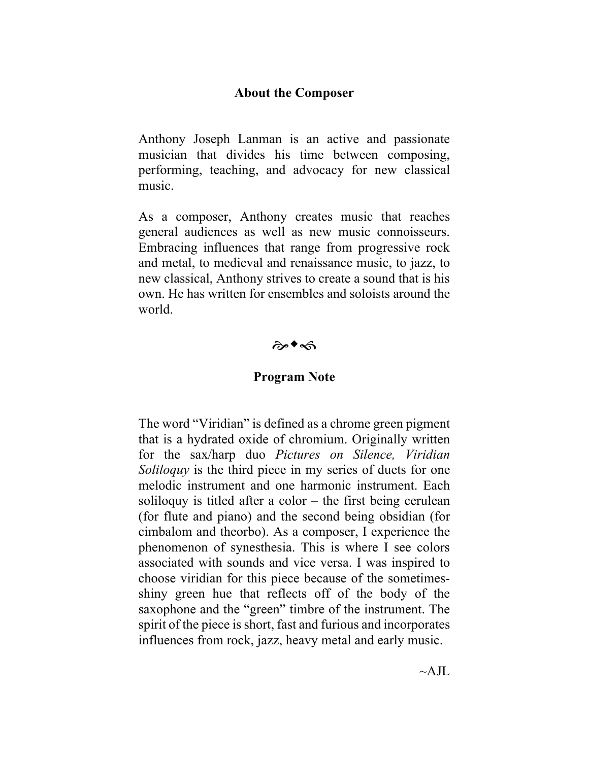## **About the Composer**

Anthony Joseph Lanman is an active and passionate musician that divides his time between composing, performing, teaching, and advocacy for new classical music.

As a composer, Anthony creates music that reaches general audiences as well as new music connoisseurs. Embracing influences that range from progressive rock and metal, to medieval and renaissance music, to jazz, to new classical, Anthony strives to create a sound that is his own. He has written for ensembles and soloists around the world.

## $\hat{\tau}$

## **Program Note**

The word "Viridian" is defined as a chrome green pigment that is a hydrated oxide of chromium. Originally written for the sax/harp duo *Pictures on Silence, Viridian Soliloquy* is the third piece in my series of duets for one melodic instrument and one harmonic instrument. Each soliloquy is titled after a color – the first being cerulean (for flute and piano) and the second being obsidian (for cimbalom and theorbo). As a composer, I experience the phenomenon of synesthesia. This is where I see colors associated with sounds and vice versa. I was inspired to choose viridian for this piece because of the sometimesshiny green hue that reflects off of the body of the saxophone and the "green" timbre of the instrument. The spirit of the piece is short, fast and furious and incorporates influences from rock, jazz, heavy metal and early music.